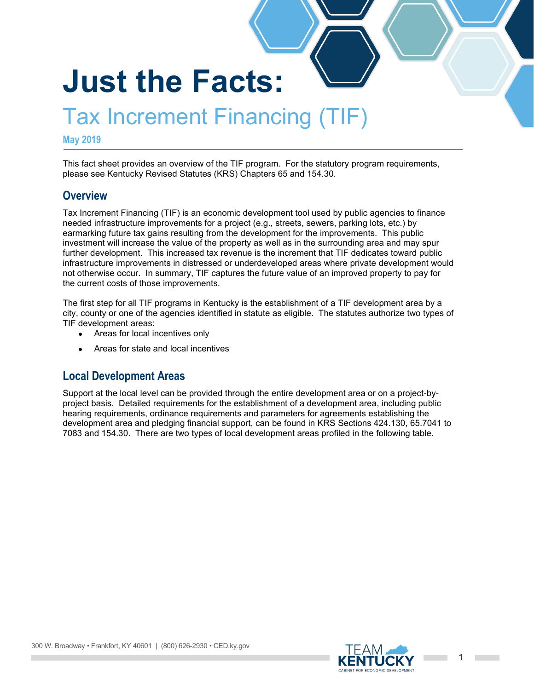# **Just the Facts:**

# Tax Increment Financing (TIF)

#### **May 2019**

This fact sheet provides an overview of the TIF program. For the statutory program requirements, please see Kentucky Revised Statutes (KRS) Chapters 65 and 154.30.

#### **Overview**

Tax Increment Financing (TIF) is an economic development tool used by public agencies to finance needed infrastructure improvements for a project (e.g., streets, sewers, parking lots, etc.) by earmarking future tax gains resulting from the development for the improvements. This public investment will increase the value of the property as well as in the surrounding area and may spur further development. This increased tax revenue is the increment that TIF dedicates toward public infrastructure improvements in distressed or underdeveloped areas where private development would not otherwise occur. In summary, TIF captures the future value of an improved property to pay for the current costs of those improvements.

The first step for all TIF programs in Kentucky is the establishment of a TIF development area by a city, county or one of the agencies identified in statute as eligible. The statutes authorize two types of TIF development areas:

- Areas for local incentives only
- Areas for state and local incentives

#### **Local Development Areas**

Support at the local level can be provided through the entire development area or on a project-byproject basis. Detailed requirements for the establishment of a development area, including public hearing requirements, ordinance requirements and parameters for agreements establishing the development area and pledging financial support, can be found in KRS Sections 424.130, 65.7041 to 7083 and 154.30. There are two types of local development areas profiled in the following table.

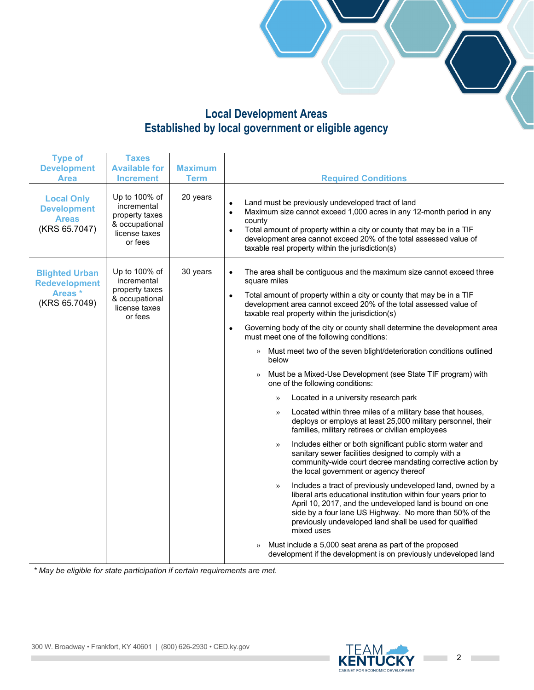#### **Local Development Areas Established by local government or eligible agency**

| <b>Type of</b><br><b>Development</b><br><b>Area</b>                      | <b>Taxes</b><br><b>Available for</b><br><b>Increment</b>                                     | <b>Maximum</b><br><b>Term</b> | <b>Required Conditions</b>                                                                                                                                                                                                                                                                                                                                                                                                                                                                                                                                                                                                                                                                                                                                                                                                                                                                                                                                                                                                                                                                                                                                                                                                                                                                                                                                                                                                                                                                                                                                                                |
|--------------------------------------------------------------------------|----------------------------------------------------------------------------------------------|-------------------------------|-------------------------------------------------------------------------------------------------------------------------------------------------------------------------------------------------------------------------------------------------------------------------------------------------------------------------------------------------------------------------------------------------------------------------------------------------------------------------------------------------------------------------------------------------------------------------------------------------------------------------------------------------------------------------------------------------------------------------------------------------------------------------------------------------------------------------------------------------------------------------------------------------------------------------------------------------------------------------------------------------------------------------------------------------------------------------------------------------------------------------------------------------------------------------------------------------------------------------------------------------------------------------------------------------------------------------------------------------------------------------------------------------------------------------------------------------------------------------------------------------------------------------------------------------------------------------------------------|
| <b>Local Only</b><br><b>Development</b><br><b>Areas</b><br>(KRS 65.7047) | Up to 100% of<br>incremental<br>property taxes<br>& occupational<br>license taxes<br>or fees | 20 years                      | Land must be previously undeveloped tract of land<br>$\bullet$<br>Maximum size cannot exceed 1,000 acres in any 12-month period in any<br>$\bullet$<br>county<br>Total amount of property within a city or county that may be in a TIF<br>$\bullet$<br>development area cannot exceed 20% of the total assessed value of<br>taxable real property within the jurisdiction(s)                                                                                                                                                                                                                                                                                                                                                                                                                                                                                                                                                                                                                                                                                                                                                                                                                                                                                                                                                                                                                                                                                                                                                                                                              |
| <b>Blighted Urban</b><br><b>Redevelopment</b><br>Areas*<br>(KRS 65.7049) | Up to 100% of<br>incremental<br>property taxes<br>& occupational<br>license taxes<br>or fees | 30 years                      | The area shall be contiguous and the maximum size cannot exceed three<br>$\bullet$<br>square miles<br>Total amount of property within a city or county that may be in a TIF<br>$\bullet$<br>development area cannot exceed 20% of the total assessed value of<br>taxable real property within the jurisdiction(s)<br>Governing body of the city or county shall determine the development area<br>$\bullet$<br>must meet one of the following conditions:<br>Must meet two of the seven blight/deterioration conditions outlined<br>$\rangle$<br>below<br>Must be a Mixed-Use Development (see State TIF program) with<br>one of the following conditions:<br>Located in a university research park<br>$\rangle$<br>Located within three miles of a military base that houses,<br>$\rangle$<br>deploys or employs at least 25,000 military personnel, their<br>families, military retirees or civilian employees<br>Includes either or both significant public storm water and<br>$\rightarrow$<br>sanitary sewer facilities designed to comply with a<br>community-wide court decree mandating corrective action by<br>the local government or agency thereof<br>Includes a tract of previously undeveloped land, owned by a<br>$\rightarrow$<br>liberal arts educational institution within four years prior to<br>April 10, 2017, and the undeveloped land is bound on one<br>side by a four lane US Highway. No more than 50% of the<br>previously undeveloped land shall be used for qualified<br>mixed uses<br>Must include a 5,000 seat arena as part of the proposed<br>$\rangle$ |
|                                                                          |                                                                                              |                               | development if the development is on previously undeveloped land                                                                                                                                                                                                                                                                                                                                                                                                                                                                                                                                                                                                                                                                                                                                                                                                                                                                                                                                                                                                                                                                                                                                                                                                                                                                                                                                                                                                                                                                                                                          |

*\* May be eligible for state participation if certain requirements are met.*

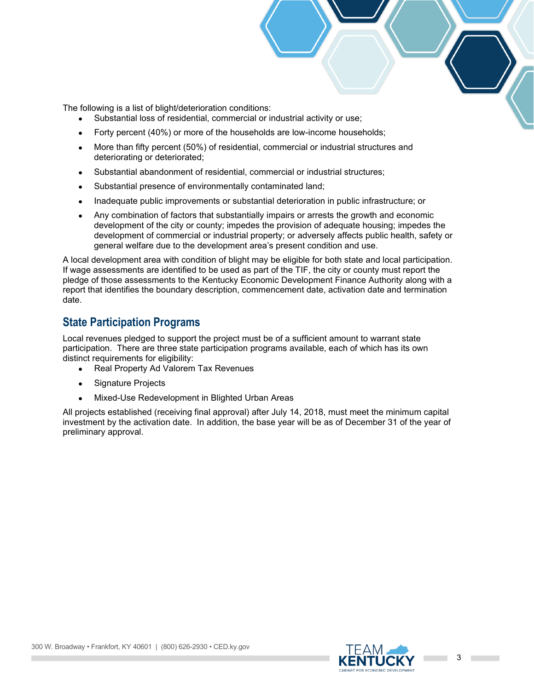The following is a list of blight/deterioration conditions:

- Substantial loss of residential, commercial or industrial activity or use;
- Forty percent (40%) or more of the households are low-income households;
- More than fifty percent (50%) of residential, commercial or industrial structures and deteriorating or deteriorated;
- Substantial abandonment of residential, commercial or industrial structures;
- Substantial presence of environmentally contaminated land;
- Inadequate public improvements or substantial deterioration in public infrastructure; or
- Any combination of factors that substantially impairs or arrests the growth and economic development of the city or county; impedes the provision of adequate housing; impedes the development of commercial or industrial property; or adversely affects public health, safety or general welfare due to the development area's present condition and use.

A local development area with condition of blight may be eligible for both state and local participation. If wage assessments are identified to be used as part of the TIF, the city or county must report the pledge of those assessments to the Kentucky Economic Development Finance Authority along with a report that identifies the boundary description, commencement date, activation date and termination date.

#### **State Participation Programs**

Local revenues pledged to support the project must be of a sufficient amount to warrant state participation. There are three state participation programs available, each of which has its own distinct requirements for eligibility:

- Real Property Ad Valorem Tax Revenues
- Signature Projects
- Mixed-Use Redevelopment in Blighted Urban Areas

All projects established (receiving final approval) after July 14, 2018, must meet the minimum capital investment by the activation date. In addition, the base year will be as of December 31 of the year of preliminary approval.

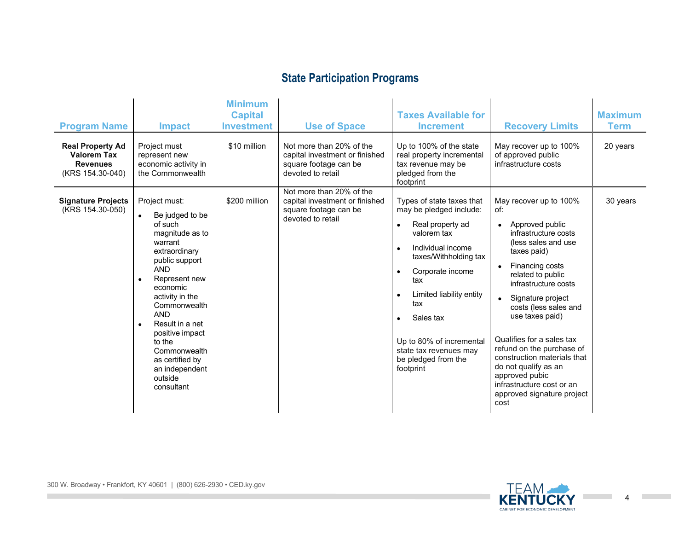## **State Participation Programs**

| <b>Program Name</b><br><b>Real Property Ad</b><br><b>Valorem Tax</b><br><b>Revenues</b><br>(KRS 154.30-040) | <b>Impact</b><br>Project must<br>represent new<br>economic activity in<br>the Commonwealth                                                                                                                                                                                                                                                                                    | <b>Minimum</b><br><b>Capital</b><br><b>Investment</b><br>\$10 million | <b>Use of Space</b><br>Not more than 20% of the<br>capital investment or finished<br>square footage can be<br>devoted to retail | <b>Taxes Available for</b><br><b>Increment</b><br>Up to 100% of the state<br>real property incremental<br>tax revenue may be<br>pledged from the<br>footprint                                                                                                                                                                                     | <b>Recovery Limits</b><br>May recover up to 100%<br>of approved public<br>infrastructure costs                                                                                                                                                                                                                                                                                                                                                                                                | <b>Maximum</b><br><b>Term</b><br>20 years |
|-------------------------------------------------------------------------------------------------------------|-------------------------------------------------------------------------------------------------------------------------------------------------------------------------------------------------------------------------------------------------------------------------------------------------------------------------------------------------------------------------------|-----------------------------------------------------------------------|---------------------------------------------------------------------------------------------------------------------------------|---------------------------------------------------------------------------------------------------------------------------------------------------------------------------------------------------------------------------------------------------------------------------------------------------------------------------------------------------|-----------------------------------------------------------------------------------------------------------------------------------------------------------------------------------------------------------------------------------------------------------------------------------------------------------------------------------------------------------------------------------------------------------------------------------------------------------------------------------------------|-------------------------------------------|
| <b>Signature Projects</b><br>(KRS 154.30-050)                                                               | Project must:<br>Be judged to be<br>$\bullet$<br>of such<br>magnitude as to<br>warrant<br>extraordinary<br>public support<br><b>AND</b><br>Represent new<br>$\bullet$<br>economic<br>activity in the<br>Commonwealth<br><b>AND</b><br>Result in a net<br>$\bullet$<br>positive impact<br>to the<br>Commonwealth<br>as certified by<br>an independent<br>outside<br>consultant | \$200 million                                                         | Not more than 20% of the<br>capital investment or finished<br>square footage can be<br>devoted to retail                        | Types of state taxes that<br>may be pledged include:<br>Real property ad<br>$\bullet$<br>valorem tax<br>Individual income<br>$\bullet$<br>taxes/Withholding tax<br>Corporate income<br>$\bullet$<br>tax<br>Limited liability entity<br>tax<br>Sales tax<br>Up to 80% of incremental<br>state tax revenues may<br>be pledged from the<br>footprint | May recover up to 100%<br>of:<br>Approved public<br>$\bullet$<br>infrastructure costs<br>(less sales and use)<br>taxes paid)<br>Financing costs<br>$\bullet$<br>related to public<br>infrastructure costs<br>Signature project<br>$\bullet$<br>costs (less sales and<br>use taxes paid)<br>Qualifies for a sales tax<br>refund on the purchase of<br>construction materials that<br>do not qualify as an<br>approved pubic<br>infrastructure cost or an<br>approved signature project<br>cost | 30 years                                  |



**COL**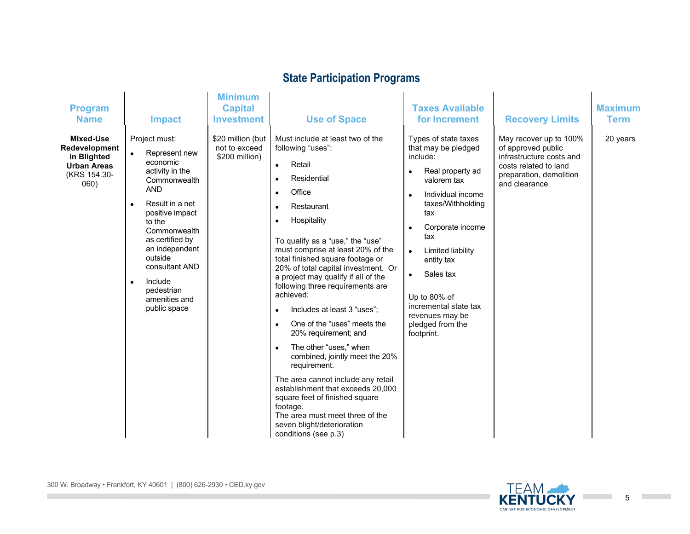## **State Participation Programs**

| <b>Program</b><br><b>Name</b>                                                           | <b>Impact</b>                                                                                                                                                                                                                                                                                                                  | <b>Minimum</b><br><b>Capital</b><br><b>Investment</b> | <b>Use of Space</b>                                                                                                                                                                                                                                                                                                                                                                                                                                                                                                                                                                                                                                                                                                                                                                                                                                           | <b>Taxes Available</b><br>for Increment                                                                                                                                                                                                                                                                                                                                               | <b>Recovery Limits</b>                                                                                                                        | <b>Maximum</b><br><b>Term</b> |
|-----------------------------------------------------------------------------------------|--------------------------------------------------------------------------------------------------------------------------------------------------------------------------------------------------------------------------------------------------------------------------------------------------------------------------------|-------------------------------------------------------|---------------------------------------------------------------------------------------------------------------------------------------------------------------------------------------------------------------------------------------------------------------------------------------------------------------------------------------------------------------------------------------------------------------------------------------------------------------------------------------------------------------------------------------------------------------------------------------------------------------------------------------------------------------------------------------------------------------------------------------------------------------------------------------------------------------------------------------------------------------|---------------------------------------------------------------------------------------------------------------------------------------------------------------------------------------------------------------------------------------------------------------------------------------------------------------------------------------------------------------------------------------|-----------------------------------------------------------------------------------------------------------------------------------------------|-------------------------------|
| Mixed-Use<br>Redevelopment<br>in Blighted<br><b>Urban Areas</b><br>(KRS 154.30-<br>060) | Project must:<br>$\bullet$<br>Represent new<br>economic<br>activity in the<br>Commonwealth<br><b>AND</b><br>Result in a net<br>$\bullet$<br>positive impact<br>to the<br>Commonwealth<br>as certified by<br>an independent<br>outside<br>consultant AND<br>Include<br>$\bullet$<br>pedestrian<br>amenities and<br>public space | \$20 million (but<br>not to exceed<br>\$200 million)  | Must include at least two of the<br>following "uses":<br>Retail<br>$\bullet$<br>Residential<br>$\bullet$<br>Office<br>$\bullet$<br>Restaurant<br>$\bullet$<br>Hospitality<br>$\bullet$<br>To qualify as a "use," the "use"<br>must comprise at least 20% of the<br>total finished square footage or<br>20% of total capital investment. Or<br>a project may qualify if all of the<br>following three requirements are<br>achieved:<br>Includes at least 3 "uses";<br>$\bullet$<br>One of the "uses" meets the<br>$\bullet$<br>20% requirement; and<br>The other "uses," when<br>$\bullet$<br>combined, jointly meet the 20%<br>requirement.<br>The area cannot include any retail<br>establishment that exceeds 20,000<br>square feet of finished square<br>footage.<br>The area must meet three of the<br>seven blight/deterioration<br>conditions (see p.3) | Types of state taxes<br>that may be pledged<br>include:<br>Real property ad<br>$\bullet$<br>valorem tax<br>Individual income<br>$\bullet$<br>taxes/Withholding<br>tax<br>Corporate income<br>$\bullet$<br>tax<br>Limited liability<br>$\bullet$<br>entity tax<br>Sales tax<br>$\bullet$<br>Up to 80% of<br>incremental state tax<br>revenues may be<br>pledged from the<br>footprint. | May recover up to 100%<br>of approved public<br>infrastructure costs and<br>costs related to land<br>preparation, demolition<br>and clearance | 20 years                      |



**College** 



5

**College**